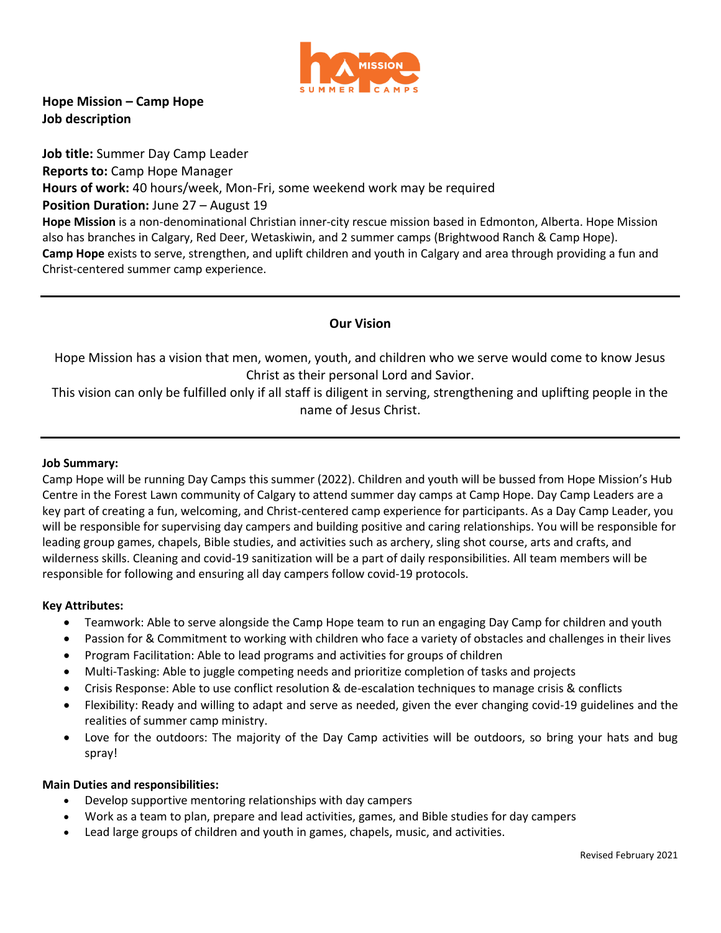

# **Hope Mission – Camp Hope Job description**

**Job title:** Summer Day Camp Leader **Reports to:** Camp Hope Manager **Hours of work:** 40 hours/week, Mon-Fri, some weekend work may be required **Position Duration: June 27 – August 19 Hope Mission** is a non-denominational Christian inner-city rescue mission based in Edmonton, Alberta. Hope Mission also has branches in Calgary, Red Deer, Wetaskiwin, and 2 summer camps (Brightwood Ranch & Camp Hope). **Camp Hope** exists to serve, strengthen, and uplift children and youth in Calgary and area through providing a fun and Christ-centered summer camp experience.

# **Our Vision**

Hope Mission has a vision that men, women, youth, and children who we serve would come to know Jesus Christ as their personal Lord and Savior.

This vision can only be fulfilled only if all staff is diligent in serving, strengthening and uplifting people in the name of Jesus Christ.

## **Job Summary:**

Camp Hope will be running Day Camps this summer (2022). Children and youth will be bussed from Hope Mission's Hub Centre in the Forest Lawn community of Calgary to attend summer day camps at Camp Hope. Day Camp Leaders are a key part of creating a fun, welcoming, and Christ-centered camp experience for participants. As a Day Camp Leader, you will be responsible for supervising day campers and building positive and caring relationships. You will be responsible for leading group games, chapels, Bible studies, and activities such as archery, sling shot course, arts and crafts, and wilderness skills. Cleaning and covid-19 sanitization will be a part of daily responsibilities. All team members will be responsible for following and ensuring all day campers follow covid-19 protocols.

### **Key Attributes:**

- Teamwork: Able to serve alongside the Camp Hope team to run an engaging Day Camp for children and youth
- Passion for & Commitment to working with children who face a variety of obstacles and challenges in their lives
- Program Facilitation: Able to lead programs and activities for groups of children
- Multi-Tasking: Able to juggle competing needs and prioritize completion of tasks and projects
- Crisis Response: Able to use conflict resolution & de-escalation techniques to manage crisis & conflicts
- Flexibility: Ready and willing to adapt and serve as needed, given the ever changing covid-19 guidelines and the realities of summer camp ministry.
- Love for the outdoors: The majority of the Day Camp activities will be outdoors, so bring your hats and bug spray!

## **Main Duties and responsibilities:**

- Develop supportive mentoring relationships with day campers
- Work as a team to plan, prepare and lead activities, games, and Bible studies for day campers
- Lead large groups of children and youth in games, chapels, music, and activities.